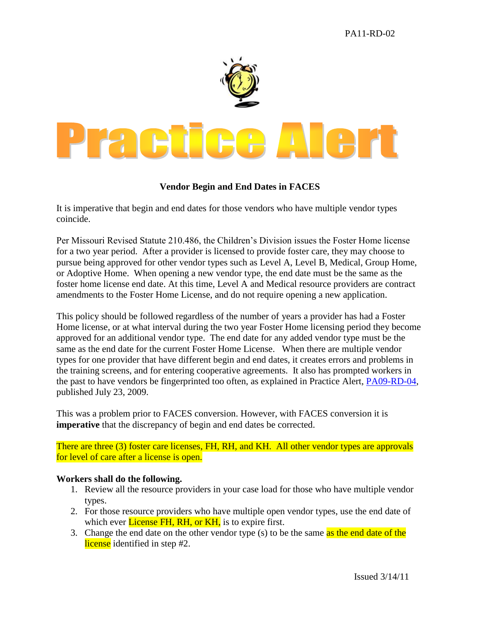

## **Vendor Begin and End Dates in FACES**

It is imperative that begin and end dates for those vendors who have multiple vendor types coincide.

Per Missouri Revised Statute 210.486, the Children's Division issues the Foster Home license for a two year period. After a provider is licensed to provide foster care, they may choose to pursue being approved for other vendor types such as Level A, Level B, Medical, Group Home, or Adoptive Home. When opening a new vendor type, the end date must be the same as the foster home license end date. At this time, Level A and Medical resource providers are contract amendments to the Foster Home License, and do not require opening a new application.

This policy should be followed regardless of the number of years a provider has had a Foster Home license, or at what interval during the two year Foster Home licensing period they become approved for an additional vendor type. The end date for any added vendor type must be the same as the end date for the current Foster Home License. When there are multiple vendor types for one provider that have different begin and end dates, it creates errors and problems in the training screens, and for entering cooperative agreements. It also has prompted workers in the past to have vendors be fingerprinted too often, as explained in Practice Alert, [PA09-RD-04,](http://dssweb/cs/pracpoints/pdf/resdev/finger_printing.pdf) published July 23, 2009.

This was a problem prior to FACES conversion. However, with FACES conversion it is **imperative** that the discrepancy of begin and end dates be corrected.

There are three (3) foster care licenses, FH, RH, and KH. All other vendor types are approvals for level of care after a license is open.

## **Workers shall do the following.**

- 1. Review all the resource providers in your case load for those who have multiple vendor types.
- 2. For those resource providers who have multiple open vendor types, use the end date of which ever **License FH, RH, or KH**, is to expire first.
- 3. Change the end date on the other vendor type (s) to be the same as the end date of the license identified in step #2.